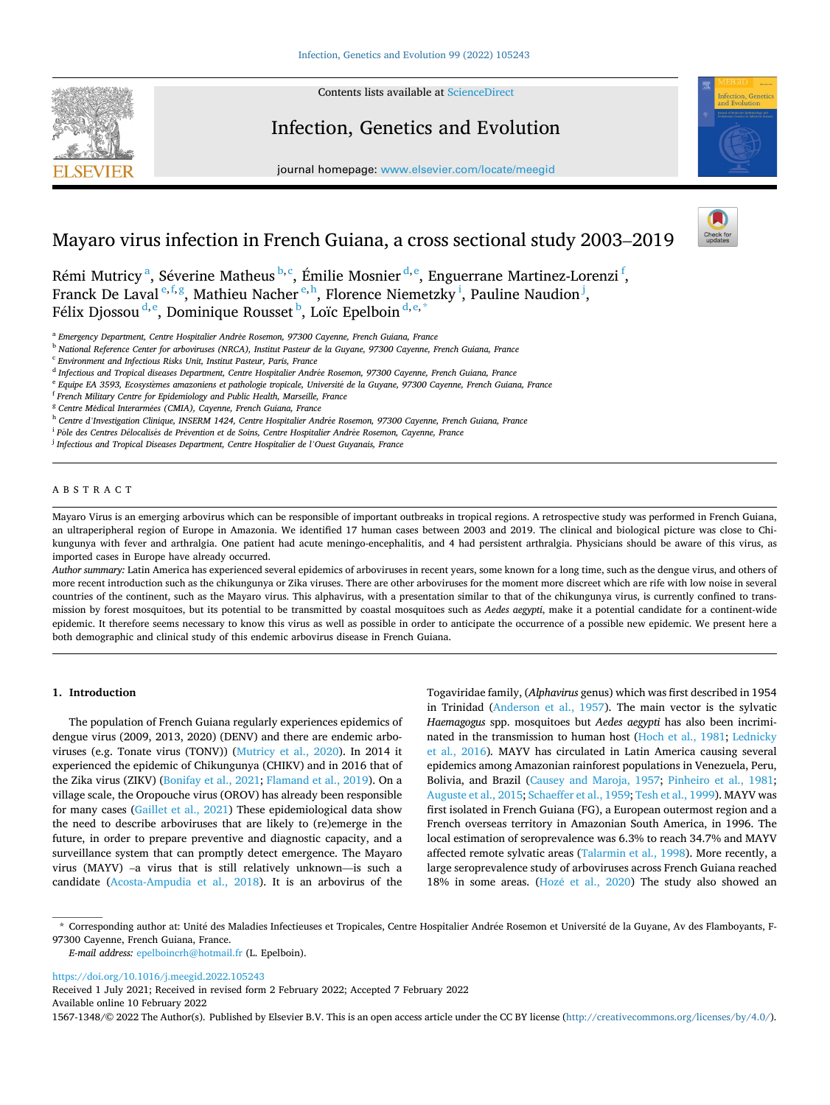

**SEVIER** 

Contents lists available at [ScienceDirect](www.sciencedirect.com/science/journal/15671348)

# Infection, Genetics and Evolution

journal homepage: [www.elsevier.com/locate/meegid](https://www.elsevier.com/locate/meegid)



# Mayaro virus infection in French Guiana, a cross sectional study 2003–2019



Rémi Mutricy<sup>a</sup>, Séverine Matheus<sup>b,c</sup>, Émilie Mosnier<sup>d,e</sup>, Enguerrane Martinez-Lorenzi<sup>f</sup>, Franck De Laval<sup>e, f, g</sup>, Mathieu Nacher<sup>e, h</sup>, Florence Niemetzky<sup>i</sup>, Pauline Naudion<sup>j</sup>, Félix Djossou $^{\rm d,e}$ , Dominique Rousset $^{\rm b}$ , Loïc Epelboin $^{\rm d,e,*}$ 

<sup>a</sup> Emergency Department, Centre Hospitalier Andrée Rosemon, 97300 Cayenne, French Guiana, France

<sup>b</sup> *National Reference Center for arboviruses (NRCA), Institut Pasteur de la Guyane, 97300 Cayenne, French Guiana, France* 

<sup>c</sup> *Environment and Infectious Risks Unit, Institut Pasteur, Paris, France* 

<sup>d</sup> Infectious and Tropical diseases Department, Centre Hospitalier Andrée Rosemon, 97300 Cayenne, French Guiana, France

<sup>e</sup> *Equipe EA 3593, Ecosyst*`*emes amazoniens et pathologie tropicale, Universit*´*e de la Guyane, 97300 Cayenne, French Guiana, France* 

- <sup>f</sup> *French Military Centre for Epidemiology and Public Health, Marseille, France*
- <sup>g</sup> *Centre M*´*edical Interarm*´*ees (CMIA), Cayenne, French Guiana, France*

<sup>h</sup> Centre d'Investigation Clinique, INSERM 1424, Centre Hospitalier Andrée Rosemon, 97300 Cayenne, French Guiana, France

<sup>i</sup> *P*ˆ *ole des Centres D*´*elocalis*´*es de Pr*´*evention et de Soins, Centre Hospitalier Andr*´*ee Rosemon, Cayenne, France* 

<sup>j</sup> *Infectious and Tropical Diseases Department, Centre Hospitalier de l'Ouest Guyanais, France* 

# ABSTRACT

Mayaro Virus is an emerging arbovirus which can be responsible of important outbreaks in tropical regions. A retrospective study was performed in French Guiana, an ultraperipheral region of Europe in Amazonia. We identified 17 human cases between 2003 and 2019. The clinical and biological picture was close to Chikungunya with fever and arthralgia. One patient had acute meningo-encephalitis, and 4 had persistent arthralgia. Physicians should be aware of this virus, as imported cases in Europe have already occurred.

*Author summary:* Latin America has experienced several epidemics of arboviruses in recent years, some known for a long time, such as the dengue virus, and others of more recent introduction such as the chikungunya or Zika viruses. There are other arboviruses for the moment more discreet which are rife with low noise in several countries of the continent, such as the Mayaro virus. This alphavirus, with a presentation similar to that of the chikungunya virus, is currently confined to transmission by forest mosquitoes, but its potential to be transmitted by coastal mosquitoes such as *Aedes aegypti*, make it a potential candidate for a continent-wide epidemic. It therefore seems necessary to know this virus as well as possible in order to anticipate the occurrence of a possible new epidemic. We present here a both demographic and clinical study of this endemic arbovirus disease in French Guiana.

# **1. Introduction**

The population of French Guiana regularly experiences epidemics of dengue virus (2009, 2013, 2020) (DENV) and there are endemic arboviruses (e.g. Tonate virus (TONV)) ([Mutricy et al., 2020](#page-5-0)). In 2014 it experienced the epidemic of Chikungunya (CHIKV) and in 2016 that of the Zika virus (ZIKV) [\(Bonifay et al., 2021; Flamand et al., 2019](#page-5-0)). On a village scale, the Oropouche virus (OROV) has already been responsible for many cases ([Gaillet et al., 2021](#page-5-0)) These epidemiological data show the need to describe arboviruses that are likely to (re)emerge in the future, in order to prepare preventive and diagnostic capacity, and a surveillance system that can promptly detect emergence. The Mayaro virus (MAYV) –a virus that is still relatively unknown—is such a candidate [\(Acosta-Ampudia et al., 2018](#page-5-0)). It is an arbovirus of the

Togaviridae family, (*Alphavirus* genus) which was first described in 1954 in Trinidad [\(Anderson et al., 1957\)](#page-5-0). The main vector is the sylvatic *Haemagogus* spp. mosquitoes but *Aedes aegypti* has also been incriminated in the transmission to human host [\(Hoch et al., 1981;](#page-5-0) [Lednicky](#page-5-0)  [et al., 2016](#page-5-0))*.* MAYV has circulated in Latin America causing several epidemics among Amazonian rainforest populations in Venezuela, Peru, Bolivia, and Brazil [\(Causey and Maroja, 1957;](#page-5-0) [Pinheiro et al., 1981](#page-5-0); [Auguste et al., 2015](#page-5-0); [Schaeffer et al., 1959](#page-5-0); [Tesh et al., 1999](#page-5-0)). MAYV was first isolated in French Guiana (FG), a European outermost region and a French overseas territory in Amazonian South America, in 1996. The local estimation of seroprevalence was 6.3% to reach 34.7% and MAYV affected remote sylvatic areas [\(Talarmin et al., 1998](#page-5-0)). More recently, a large seroprevalence study of arboviruses across French Guiana reached 18% in some areas. (Hozé et al., 2020) The study also showed an

\* Corresponding author at: Unité des Maladies Infectieuses et Tropicales, Centre Hospitalier Andrée Rosemon et Université de la Guyane, Av des Flamboyants, F-97300 Cayenne, French Guiana, France.

*E-mail address:* [epelboincrh@hotmail.fr](mailto:epelboincrh@hotmail.fr) (L. Epelboin).

<https://doi.org/10.1016/j.meegid.2022.105243>

Available online 10 February 2022 Received 1 July 2021; Received in revised form 2 February 2022; Accepted 7 February 2022

1567-1348/© 2022 The Author(s). Published by Elsevier B.V. This is an open access article under the CC BY license [\(http://creativecommons.org/licenses/by/4.0/\)](http://creativecommons.org/licenses/by/4.0/).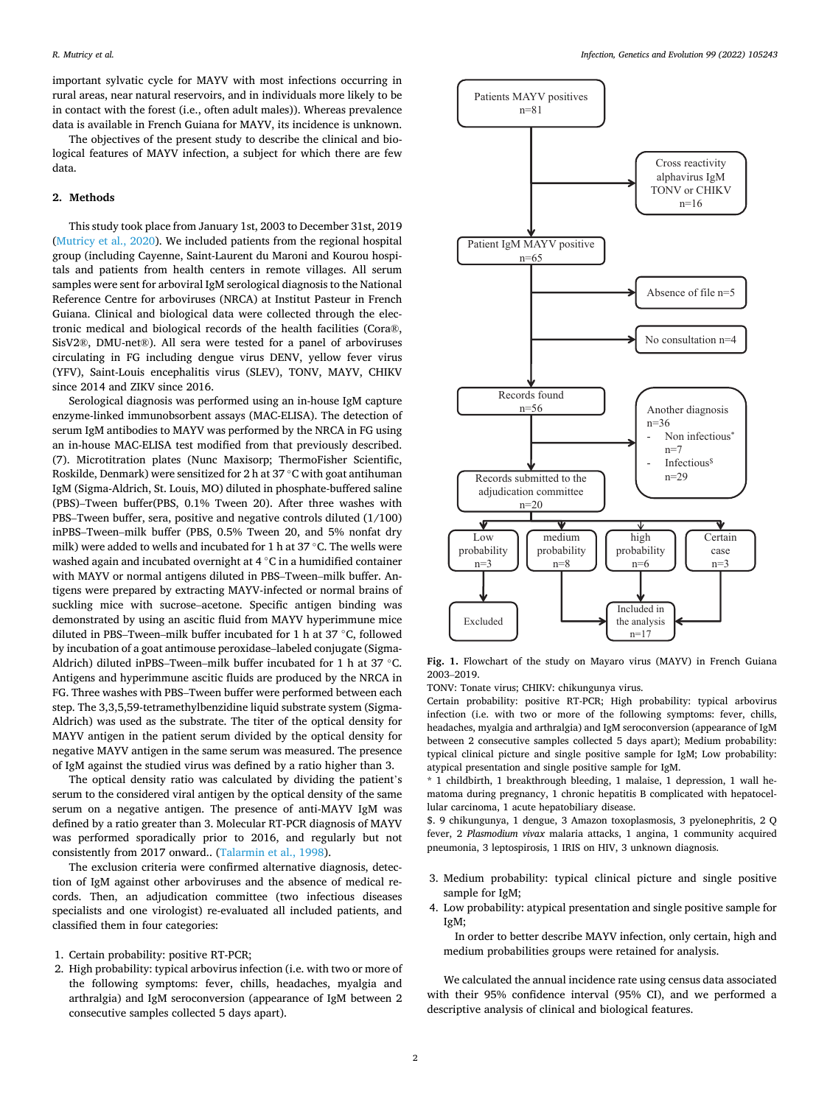<span id="page-1-0"></span>important sylvatic cycle for MAYV with most infections occurring in rural areas, near natural reservoirs, and in individuals more likely to be in contact with the forest (i.e., often adult males)). Whereas prevalence data is available in French Guiana for MAYV, its incidence is unknown.

The objectives of the present study to describe the clinical and biological features of MAYV infection, a subject for which there are few data.

# **2. Methods**

This study took place from January 1st, 2003 to December 31st, 2019 ([Mutricy et al., 2020](#page-5-0)). We included patients from the regional hospital group (including Cayenne, Saint-Laurent du Maroni and Kourou hospitals and patients from health centers in remote villages. All serum samples were sent for arboviral IgM serological diagnosis to the National Reference Centre for arboviruses (NRCA) at Institut Pasteur in French Guiana. Clinical and biological data were collected through the electronic medical and biological records of the health facilities (Cora®, SisV2®, DMU-net®). All sera were tested for a panel of arboviruses circulating in FG including dengue virus DENV, yellow fever virus (YFV), Saint-Louis encephalitis virus (SLEV), TONV, MAYV, CHIKV since 2014 and ZIKV since 2016.

Serological diagnosis was performed using an in-house IgM capture enzyme-linked immunobsorbent assays (MAC-ELISA). The detection of serum IgM antibodies to MAYV was performed by the NRCA in FG using an in-house MAC-ELISA test modified from that previously described. (7). Microtitration plates (Nunc Maxisorp; ThermoFisher Scientific, Roskilde, Denmark) were sensitized for 2 h at 37 ◦C with goat antihuman IgM (Sigma-Aldrich, St. Louis, MO) diluted in phosphate-buffered saline (PBS)–Tween buffer(PBS, 0.1% Tween 20). After three washes with PBS–Tween buffer, sera, positive and negative controls diluted (1/100) inPBS–Tween–milk buffer (PBS, 0.5% Tween 20, and 5% nonfat dry milk) were added to wells and incubated for 1 h at 37 ◦C. The wells were washed again and incubated overnight at 4 ℃ in a humidified container with MAYV or normal antigens diluted in PBS–Tween–milk buffer. Antigens were prepared by extracting MAYV-infected or normal brains of suckling mice with sucrose–acetone. Specific antigen binding was demonstrated by using an ascitic fluid from MAYV hyperimmune mice diluted in PBS–Tween–milk buffer incubated for 1 h at 37 ◦C, followed by incubation of a goat antimouse peroxidase–labeled conjugate (Sigma-Aldrich) diluted inPBS–Tween–milk buffer incubated for 1 h at 37 ◦C. Antigens and hyperimmune ascitic fluids are produced by the NRCA in FG. Three washes with PBS–Tween buffer were performed between each step. The 3,3,5,59-tetramethylbenzidine liquid substrate system (Sigma-Aldrich) was used as the substrate. The titer of the optical density for MAYV antigen in the patient serum divided by the optical density for negative MAYV antigen in the same serum was measured. The presence of IgM against the studied virus was defined by a ratio higher than 3.

The optical density ratio was calculated by dividing the patient's serum to the considered viral antigen by the optical density of the same serum on a negative antigen. The presence of anti-MAYV IgM was defined by a ratio greater than 3. Molecular RT-PCR diagnosis of MAYV was performed sporadically prior to 2016, and regularly but not consistently from 2017 onward.. ([Talarmin et al., 1998\)](#page-5-0).

The exclusion criteria were confirmed alternative diagnosis, detection of IgM against other arboviruses and the absence of medical records. Then, an adjudication committee (two infectious diseases specialists and one virologist) re-evaluated all included patients, and classified them in four categories:

- 1. Certain probability: positive RT-PCR;
- 2. High probability: typical arbovirus infection (i.e. with two or more of the following symptoms: fever, chills, headaches, myalgia and arthralgia) and IgM seroconversion (appearance of IgM between 2 consecutive samples collected 5 days apart).



**Fig. 1.** Flowchart of the study on Mayaro virus (MAYV) in French Guiana 2003–2019.

TONV: Tonate virus; CHIKV: chikungunya virus.

Certain probability: positive RT-PCR; High probability: typical arbovirus infection (i.e. with two or more of the following symptoms: fever, chills, headaches, myalgia and arthralgia) and IgM seroconversion (appearance of IgM between 2 consecutive samples collected 5 days apart); Medium probability: typical clinical picture and single positive sample for IgM; Low probability: atypical presentation and single positive sample for IgM.

\* 1 childbirth, 1 breakthrough bleeding, 1 malaise, 1 depression, 1 wall hematoma during pregnancy, 1 chronic hepatitis B complicated with hepatocellular carcinoma, 1 acute hepatobiliary disease.

\$. 9 chikungunya, 1 dengue, 3 Amazon toxoplasmosis, 3 pyelonephritis, 2 Q fever, 2 *Plasmodium vivax* malaria attacks, 1 angina, 1 community acquired pneumonia, 3 leptospirosis, 1 IRIS on HIV, 3 unknown diagnosis.

- 3. Medium probability: typical clinical picture and single positive sample for IgM;
- 4. Low probability: atypical presentation and single positive sample for IgM;

In order to better describe MAYV infection, only certain, high and medium probabilities groups were retained for analysis.

We calculated the annual incidence rate using census data associated with their 95% confidence interval (95% CI), and we performed a descriptive analysis of clinical and biological features.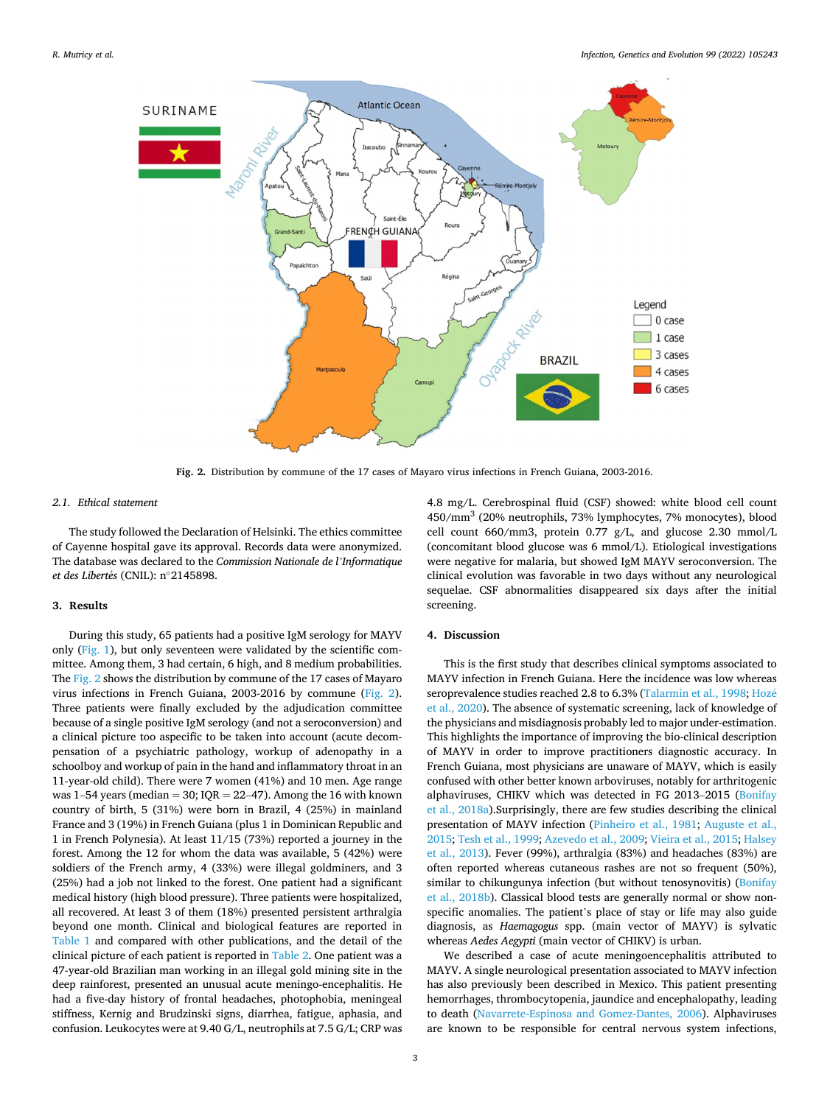

**Fig. 2.** Distribution by commune of the 17 cases of Mayaro virus infections in French Guiana, 2003-2016.

#### *2.1. Ethical statement*

The study followed the Declaration of Helsinki. The ethics committee of Cayenne hospital gave its approval. Records data were anonymized. The database was declared to the *Commission Nationale de l'Informatique et des Libert*´*es* (CNIL): n◦2145898.

### **3. Results**

During this study, 65 patients had a positive IgM serology for MAYV only ([Fig. 1\)](#page-1-0), but only seventeen were validated by the scientific committee. Among them, 3 had certain, 6 high, and 8 medium probabilities. The Fig. 2 shows the distribution by commune of the 17 cases of Mayaro virus infections in French Guiana, 2003-2016 by commune (Fig. 2). Three patients were finally excluded by the adjudication committee because of a single positive IgM serology (and not a seroconversion) and a clinical picture too aspecific to be taken into account (acute decompensation of a psychiatric pathology, workup of adenopathy in a schoolboy and workup of pain in the hand and inflammatory throat in an 11-year-old child). There were 7 women (41%) and 10 men. Age range was 1–54 years (median  $= 30$ ; IQR  $= 22-47$ ). Among the 16 with known country of birth, 5 (31%) were born in Brazil, 4 (25%) in mainland France and 3 (19%) in French Guiana (plus 1 in Dominican Republic and 1 in French Polynesia). At least 11/15 (73%) reported a journey in the forest. Among the 12 for whom the data was available, 5 (42%) were soldiers of the French army, 4 (33%) were illegal goldminers, and 3 (25%) had a job not linked to the forest. One patient had a significant medical history (high blood pressure). Three patients were hospitalized, all recovered. At least 3 of them (18%) presented persistent arthralgia beyond one month. Clinical and biological features are reported in [Table 1](#page-3-0) and compared with other publications, and the detail of the clinical picture of each patient is reported in [Table 2](#page-4-0). One patient was a 47-year-old Brazilian man working in an illegal gold mining site in the deep rainforest, presented an unusual acute meningo-encephalitis. He had a five-day history of frontal headaches, photophobia, meningeal stiffness, Kernig and Brudzinski signs, diarrhea, fatigue, aphasia, and confusion. Leukocytes were at 9.40 G/L, neutrophils at 7.5 G/L; CRP was

4.8 mg/L. Cerebrospinal fluid (CSF) showed: white blood cell count 450/mm3 (20% neutrophils, 73% lymphocytes, 7% monocytes), blood cell count 660/mm3, protein 0.77 g/L, and glucose 2.30 mmol/L (concomitant blood glucose was 6 mmol/L). Etiological investigations were negative for malaria, but showed IgM MAYV seroconversion. The clinical evolution was favorable in two days without any neurological sequelae. CSF abnormalities disappeared six days after the initial screening.

# **4. Discussion**

This is the first study that describes clinical symptoms associated to MAYV infection in French Guiana. Here the incidence was low whereas seroprevalence studies reached 2.8 to 6.3% [\(Talarmin et al., 1998; Hoz](#page-5-0)é [et al., 2020](#page-5-0)). The absence of systematic screening, lack of knowledge of the physicians and misdiagnosis probably led to major under-estimation. This highlights the importance of improving the bio-clinical description of MAYV in order to improve practitioners diagnostic accuracy. In French Guiana, most physicians are unaware of MAYV, which is easily confused with other better known arboviruses, notably for arthritogenic alphaviruses, CHIKV which was detected in FG 2013–2015 ([Bonifay](#page-5-0)  [et al., 2018a\)](#page-5-0).Surprisingly, there are few studies describing the clinical presentation of MAYV infection [\(Pinheiro et al., 1981;](#page-5-0) [Auguste et al.,](#page-5-0)  [2015; Tesh et al., 1999; Azevedo et al., 2009; Vieira et al., 2015; Halsey](#page-5-0)  [et al., 2013\)](#page-5-0). Fever (99%), arthralgia (83%) and headaches (83%) are often reported whereas cutaneous rashes are not so frequent (50%), similar to chikungunya infection (but without tenosynovitis) (Bonifay [et al., 2018b\)](#page-5-0). Classical blood tests are generally normal or show nonspecific anomalies. The patient's place of stay or life may also guide diagnosis, as *Haemagogus* spp. (main vector of MAYV) is sylvatic whereas *Aedes Aegypti* (main vector of CHIKV) is urban.

We described a case of acute meningoencephalitis attributed to MAYV. A single neurological presentation associated to MAYV infection has also previously been described in Mexico. This patient presenting hemorrhages, thrombocytopenia, jaundice and encephalopathy, leading to death ([Navarrete-Espinosa and Gomez-Dantes, 2006\)](#page-5-0). Alphaviruses are known to be responsible for central nervous system infections,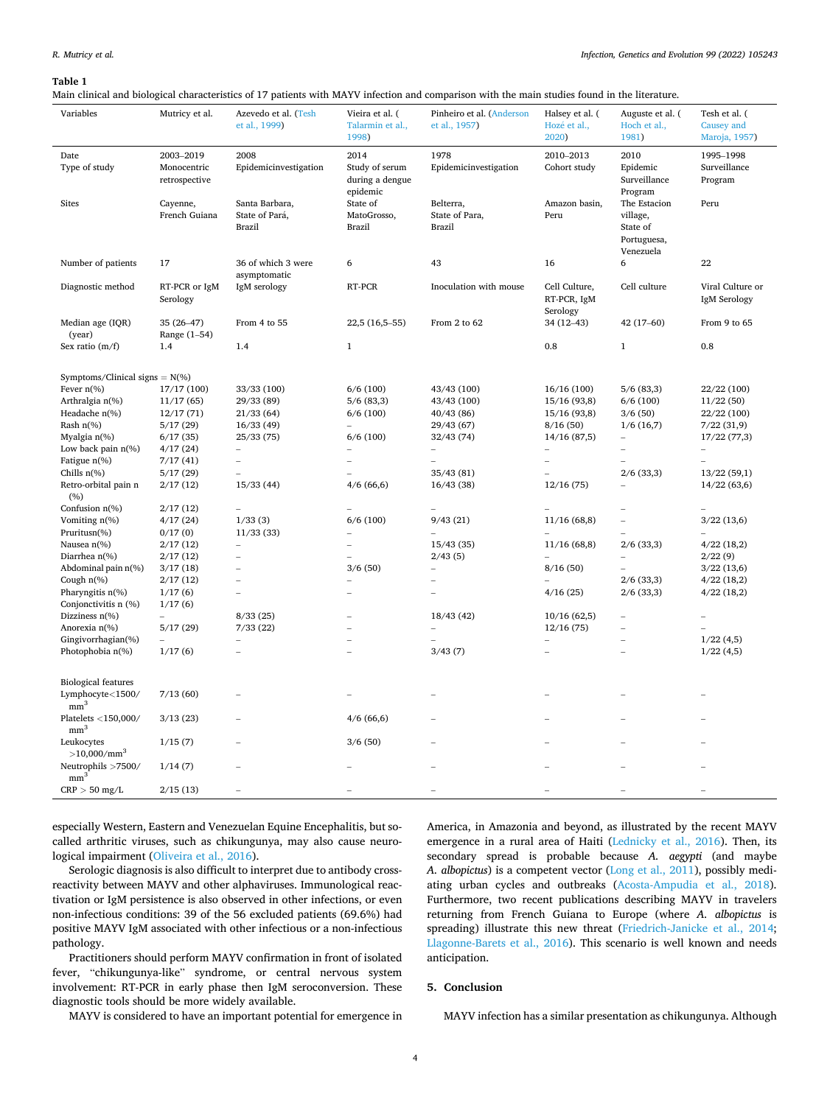#### <span id="page-3-0"></span>**Table 1**

Main clinical and biological characteristics of 17 patients with MAYV infection and comparison with the main studies found in the literature.

| Variables                         | Mutricy et al. | Azevedo et al. (Tesh     | Vieira et al. (  | Pinheiro et al. (Anderson | Halsey et al. ( | Auguste et al. (         | Tesh et al. (    |
|-----------------------------------|----------------|--------------------------|------------------|---------------------------|-----------------|--------------------------|------------------|
|                                   |                | et al., 1999)            | Talarmin et al., | et al., 1957)             | Hozé et al.,    | Hoch et al.,             | Causey and       |
|                                   |                |                          | 1998)            |                           | 2020)           | 1981)                    | Maroja, 1957)    |
|                                   |                |                          |                  |                           |                 |                          |                  |
| Date                              | 2003-2019      | 2008                     | 2014             | 1978                      | 2010-2013       | 2010                     | 1995-1998        |
| Type of study                     | Monocentric    | Epidemicinvestigation    | Study of serum   | Epidemicinvestigation     | Cohort study    | Epidemic                 | Surveillance     |
|                                   | retrospective  |                          | during a dengue  |                           |                 | Surveillance             | Program          |
|                                   |                |                          | epidemic         |                           |                 | Program                  |                  |
| <b>Sites</b>                      | Cayenne,       | Santa Barbara,           | State of         | Belterra,                 | Amazon basin,   | The Estacion             | Peru             |
|                                   | French Guiana  | State of Pará,           | MatoGrosso,      | State of Para,            | Peru            | village,                 |                  |
|                                   |                | <b>Brazil</b>            | Brazil           | <b>Brazil</b>             |                 | State of                 |                  |
|                                   |                |                          |                  |                           |                 | Portuguesa,              |                  |
|                                   |                |                          |                  |                           |                 | Venezuela                |                  |
| Number of patients                | 17             | 36 of which 3 were       | 6                | 43                        | 16              | 6                        | 22               |
|                                   |                | asymptomatic             |                  |                           |                 |                          |                  |
| Diagnostic method                 | RT-PCR or IgM  | IgM serology             | RT-PCR           | Inoculation with mouse    | Cell Culture,   | Cell culture             | Viral Culture or |
|                                   | Serology       |                          |                  |                           | RT-PCR, IgM     |                          | IgM Serology     |
|                                   |                |                          |                  |                           | Serology        |                          |                  |
| Median age (IQR)                  | 35 (26-47)     | From 4 to 55             | 22,5 (16,5-55)   | From 2 to 62              | 34 (12-43)      | $42(17-60)$              | From 9 to 65     |
| (year)                            | Range (1-54)   |                          |                  |                           |                 |                          |                  |
| Sex ratio $(m/f)$                 | 1.4            | 1.4                      | $\mathbf 1$      |                           | 0.8             | $\mathbf{1}$             | 0.8              |
|                                   |                |                          |                  |                           |                 |                          |                  |
| Symptoms/Clinical signs = $N$ (%) |                |                          |                  |                           |                 |                          |                  |
| Fever $n\%$ )                     | 17/17 (100)    | 33/33 (100)              | 6/6(100)         | 43/43 (100)               | 16/16(100)      | 5/6(83,3)                | 22/22 (100)      |
| Arthralgia n(%)                   | 11/17(65)      | 29/33 (89)               | 5/6(83,3)        | 43/43 (100)               | 15/16(93,8)     | 6/6(100)                 | 11/22(50)        |
| Headache n(%)                     | 12/17(71)      | 21/33(64)                | 6/6(100)         | 40/43 (86)                | 15/16 (93,8)    | 3/6(50)                  | 22/22 (100)      |
| Rash $n$ (%)                      | 5/17(29)       | 16/33(49)                |                  | 29/43 (67)                | 8/16(50)        | 1/6(16,7)                | 7/22(31,9)       |
| Myalgia n(%)                      | 6/17(35)       | 25/33(75)                | 6/6(100)         | 32/43(74)                 | 14/16(87,5)     | $\overline{\phantom{0}}$ | 17/22(77,3)      |
| Low back pain $n$ (%)             | 4/17(24)       |                          |                  |                           |                 |                          |                  |
| Fatigue n(%)                      | 7/17(41)       | $\overline{\phantom{0}}$ |                  |                           | $\overline{a}$  |                          |                  |
| Chills $n$ <sup>(%)</sup>         | 5/17(29)       |                          |                  | 35/43(81)                 |                 | $2/6$ (33,3)             | 13/22(59,1)      |
| Retro-orbital pain n              | 2/17(12)       | 15/33(44)                | 4/6(66,6)        | 16/43(38)                 | 12/16(75)       |                          | 14/22(63,6)      |
| (%)                               |                |                          |                  |                           |                 |                          |                  |
| Confusion n(%)                    | 2/17(12)       |                          |                  |                           |                 |                          |                  |
| Vomiting $n$ (%)                  | 4/17(24)       | 1/33(3)                  | 6/6(100)         | 9/43(21)                  | 11/16(68,8)     | $\overline{a}$           | 3/22(13,6)       |
| Pruritusn(%)                      | 0/17(0)        | 11/33(33)                |                  |                           |                 |                          |                  |
| Nausea n(%)                       | 2/17(12)       | $\overline{a}$           |                  | 15/43(35)                 | 11/16(68,8)     | $2/6$ (33,3)             | 4/22(18,2)       |
| Diarrhea n(%)                     | 2/17(12)       |                          |                  | 2/43(5)                   |                 |                          | 2/22(9)          |
| Abdominal pain n(%)               | 3/17(18)       | $\overline{\phantom{0}}$ | 3/6(50)          | $\overline{a}$            | 8/16(50)        |                          | 3/22(13,6)       |
| Cough $n$ (%)                     | 2/17(12)       | $\overline{a}$           |                  | $\overline{\phantom{0}}$  |                 | $2/6$ (33,3)             | 4/22(18,2)       |
| Pharyngitis n(%)                  | 1/17(6)        | $\equiv$                 |                  |                           | 4/16(25)        | $2/6$ (33,3)             | 4/22(18,2)       |
| Conjonctivitis n (%)              | 1/17(6)        |                          |                  |                           |                 |                          |                  |
| Dizziness $n$ (%)                 |                | 8/33(25)                 |                  | 18/43(42)                 | 10/16(62,5)     |                          |                  |
| Anorexia n(%)                     | 5/17(29)       | 7/33(22)                 |                  |                           | 12/16(75)       |                          |                  |
| Gingivorrhagian(%)                |                |                          |                  |                           |                 |                          | 1/22(4,5)        |
| Photophobia n(%)                  | 1/17(6)        |                          |                  | 3/43(7)                   |                 |                          | 1/22(4,5)        |
|                                   |                |                          |                  |                           |                 |                          |                  |
|                                   |                |                          |                  |                           |                 |                          |                  |
| <b>Biological features</b>        |                |                          |                  |                           |                 |                          |                  |
| Lymphocyte<1500/                  | 7/13(60)       |                          |                  |                           |                 |                          |                  |
| mm <sup>3</sup>                   |                |                          |                  |                           |                 |                          |                  |
| Platelets <150,000/               | 3/13(23)       |                          | 4/6(66,6)        |                           |                 |                          |                  |
| mm <sup>3</sup>                   |                |                          |                  |                           |                 |                          |                  |
| Leukocytes                        | 1/15(7)        |                          | 3/6(50)          |                           |                 |                          |                  |
| $>10,000/mm^3$                    |                |                          |                  |                           |                 |                          |                  |
| Neutrophils >7500/                | 1/14(7)        |                          |                  |                           |                 |                          |                  |
| mm <sup>3</sup>                   |                |                          |                  |                           |                 |                          |                  |
| $CRP > 50$ mg/L                   | 2/15(13)       |                          |                  |                           |                 |                          |                  |

especially Western, Eastern and Venezuelan Equine Encephalitis, but socalled arthritic viruses, such as chikungunya, may also cause neurological impairment ([Oliveira et al., 2016\)](#page-5-0).

Serologic diagnosis is also difficult to interpret due to antibody crossreactivity between MAYV and other alphaviruses. Immunological reactivation or IgM persistence is also observed in other infections, or even non-infectious conditions: 39 of the 56 excluded patients (69.6%) had positive MAYV IgM associated with other infectious or a non-infectious pathology.

Practitioners should perform MAYV confirmation in front of isolated fever, "chikungunya-like" syndrome, or central nervous system involvement: RT-PCR in early phase then IgM seroconversion. These diagnostic tools should be more widely available.

MAYV is considered to have an important potential for emergence in

America, in Amazonia and beyond, as illustrated by the recent MAYV emergence in a rural area of Haiti ([Lednicky et al., 2016](#page-5-0)). Then, its secondary spread is probable because *A. aegypti* (and maybe *A. albopictus*) is a competent vector ([Long et al., 2011\)](#page-5-0), possibly mediating urban cycles and outbreaks [\(Acosta-Ampudia et al., 2018](#page-5-0)). Furthermore, two recent publications describing MAYV in travelers returning from French Guiana to Europe (where *A. albopictus* is spreading) illustrate this new threat ([Friedrich-Janicke et al., 2014](#page-5-0); [Llagonne-Barets et al., 2016](#page-5-0)). This scenario is well known and needs anticipation.

# **5. Conclusion**

MAYV infection has a similar presentation as chikungunya. Although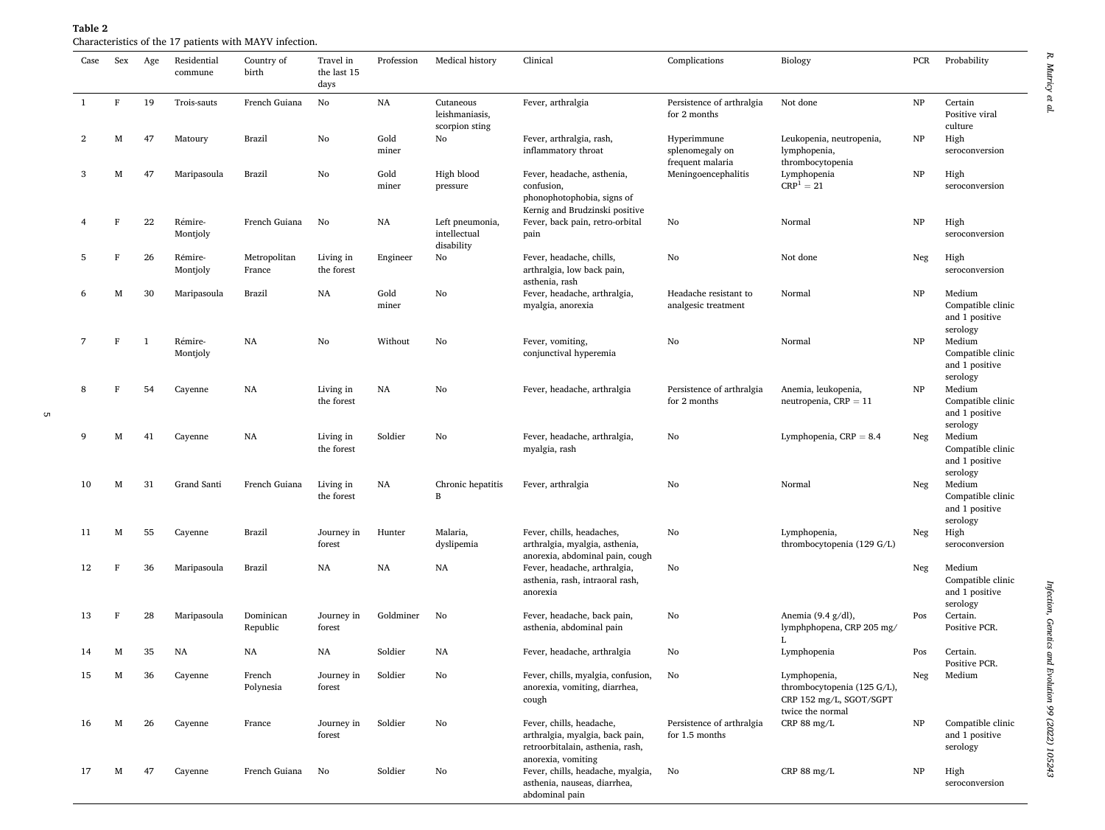| Case | Sex         | Age          | Residential<br>commune | Country of<br>birth    | Travel in<br>the last 15<br>days | Profession    | Medical history                               | Clinical                                                                                                              | Complications                                      | Biology                                                                                    | PCR | Probability                                               |
|------|-------------|--------------|------------------------|------------------------|----------------------------------|---------------|-----------------------------------------------|-----------------------------------------------------------------------------------------------------------------------|----------------------------------------------------|--------------------------------------------------------------------------------------------|-----|-----------------------------------------------------------|
| -1   | $\mathbf F$ | 19           | Trois-sauts            | French Guiana          | No                               | NA            | Cutaneous<br>leishmaniasis,<br>scorpion sting | Fever, arthralgia                                                                                                     | Persistence of arthralgia<br>for 2 months          | Not done                                                                                   | NP  | Certain<br>Positive viral<br>culture                      |
| 2    | M           | 47           | Matoury                | Brazil                 | No                               | Gold<br>miner | No                                            | Fever, arthralgia, rash,<br>inflammatory throat                                                                       | Hyperimmune<br>splenomegaly on<br>frequent malaria | Leukopenia, neutropenia,<br>lymphopenia,<br>thrombocytopenia                               | NP  | High<br>seroconversion                                    |
| 3    | М           | 47           | Maripasoula            | Brazil                 | No                               | Gold<br>miner | High blood<br>pressure                        | Fever, headache, asthenia,<br>confusion,<br>phonophotophobia, signs of<br>Kernig and Brudzinski positive              | Meningoencephalitis                                | Lymphopenia<br>$CRP1 = 21$                                                                 | NP  | High<br>seroconversion                                    |
|      | F           | 22           | Rémire-<br>Montjoly    | French Guiana          | No                               | NA            | Left pneumonia,<br>intellectual<br>disability | Fever, back pain, retro-orbital<br>pain                                                                               | No                                                 | Normal                                                                                     | NP  | High<br>seroconversion                                    |
| 5    | F           | 26           | Rémire-<br>Montjoly    | Metropolitan<br>France | Living in<br>the forest          | Engineer      | No                                            | Fever, headache, chills,<br>arthralgia, low back pain,<br>asthenia, rash                                              | No                                                 | Not done                                                                                   | Neg | High<br>seroconversion                                    |
| 6    | М           | 30           | Maripasoula            | Brazil                 | NA                               | Gold<br>miner | No                                            | Fever, headache, arthralgia,<br>myalgia, anorexia                                                                     | Headache resistant to<br>analgesic treatment       | Normal                                                                                     | NP  | Medium<br>Compatible clinic<br>and 1 positive<br>serology |
| 7    | F           | $\mathbf{1}$ | Rémire-<br>Montjoly    | NA                     | No                               | Without       | No                                            | Fever, vomiting,<br>conjunctival hyperemia                                                                            | No                                                 | Normal                                                                                     | NP  | Medium<br>Compatible clinic<br>and 1 positive<br>serology |
| 8    | F           | 54           | Cayenne                | NA                     | Living in<br>the forest          | NA            | No                                            | Fever, headache, arthralgia                                                                                           | Persistence of arthralgia<br>for 2 months          | Anemia, leukopenia,<br>neutropenia, $CRP = 11$                                             | NP  | Medium<br>Compatible clinic<br>and 1 positive<br>serology |
| 9    | М           | 41           | Cayenne                | NA                     | Living in<br>the forest          | Soldier       | No                                            | Fever, headache, arthralgia,<br>myalgia, rash                                                                         | No                                                 | Lymphopenia, $CRP = 8.4$                                                                   | Neg | Medium<br>Compatible clinic<br>and 1 positive<br>serology |
| 10   | М           | 31           | Grand Santi            | French Guiana          | Living in<br>the forest          | NA            | Chronic hepatitis<br>B                        | Fever, arthralgia                                                                                                     | No                                                 | Normal                                                                                     | Neg | Medium<br>Compatible clinic<br>and 1 positive<br>serology |
| 11   | M           | 55           | Cayenne                | Brazil                 | Journey in<br>forest             | Hunter        | Malaria,<br>dyslipemia                        | Fever, chills, headaches,<br>arthralgia, myalgia, asthenia,<br>anorexia, abdominal pain, cough                        | No                                                 | Lymphopenia,<br>thrombocytopenia (129 G/L)                                                 | Neg | High<br>seroconversion                                    |
| 12   | F           | 36           | Maripasoula            | Brazil                 | NA                               | NA            | NA                                            | Fever, headache, arthralgia,<br>asthenia, rash, intraoral rash,<br>anorexia                                           | No                                                 |                                                                                            | Neg | Medium<br>Compatible clinic<br>and 1 positive<br>serology |
| 13   | F           | 28           | Maripasoula            | Dominican<br>Republic  | Journey in<br>forest             | Goldminer     | No                                            | Fever, headache, back pain,<br>asthenia, abdominal pain                                                               | No                                                 | Anemia $(9.4 \text{ g}/\text{dl})$ ,<br>lymphphopena, CRP 205 mg/<br>I.                    | Pos | Certain.<br>Positive PCR.                                 |
| 14   | М           | 35           | NA                     | NA                     | NA                               | Soldier       | NA                                            | Fever, headache, arthralgia                                                                                           | No                                                 | Lymphopenia                                                                                | Pos | Certain.<br>Positive PCR.                                 |
| 15   | М           | 36           | Cayenne                | French<br>Polynesia    | Journey in<br>forest             | Soldier       | No                                            | Fever, chills, myalgia, confusion,<br>anorexia, vomiting, diarrhea,<br>cough                                          | No                                                 | Lymphopenia,<br>thrombocytopenia (125 G/L),<br>CRP 152 mg/L, SGOT/SGPT<br>twice the normal | Neg | Medium                                                    |
| 16   | М           | 26           | Cayenne                | France                 | Journey in<br>forest             | Soldier       | No                                            | Fever, chills, headache,<br>arthralgia, myalgia, back pain,<br>retroorbitalain, asthenia, rash,<br>anorexia, vomiting | Persistence of arthralgia<br>for 1.5 months        | CRP 88 mg/L                                                                                | NP  | Compatible clinic<br>and 1 positive<br>serology           |
| 17   | М           | 47           | Cayenne                | French Guiana          | No                               | Soldier       | No                                            | Fever, chills, headache, myalgia,<br>asthenia, nauseas, diarrhea,<br>abdominal pain                                   | No                                                 | CRP 88 mg/L                                                                                | NP  | High<br>seroconversion                                    |

# <span id="page-4-0"></span>**Table 2**  Characteristics of the 17 patients with MAYV infection.

 $\sigma$